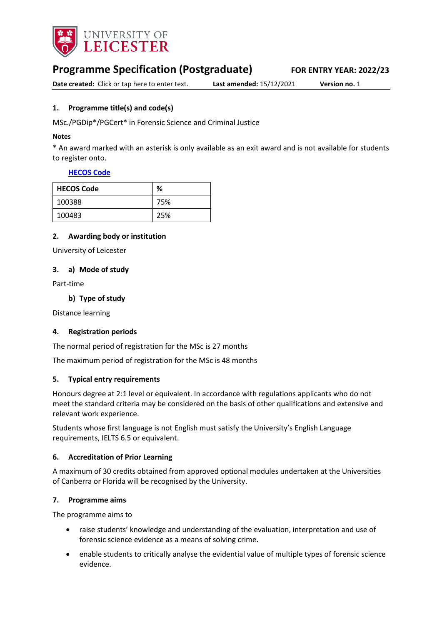

# **Programme Specification (Postgraduate) FOR ENTRY YEAR: 2022/23**

**Date created:** Click or tap here to enter text. **Last amended:** 15/12/2021 **Version no.** 1

### <span id="page-0-0"></span>**1. Programme title(s) and code(s)**

MSc./PGDip\*/PGCert\* in Forensic Science and Criminal Justice

#### **Notes**

\* An award marked with an asterisk is only available as an exit award and is not available for students to register onto.

#### **[HECOS Code](https://www.hesa.ac.uk/innovation/hecos)**

| <b>HECOS Code</b> | %   |
|-------------------|-----|
| 100388            | 75% |
| 100483            | 25% |

#### **2. Awarding body or institution**

University of Leicester

#### **3. a) Mode of study**

Part-time

**b) Type of study**

Distance learning

#### **4. Registration periods**

The normal period of registration for the MSc is 27 months

The maximum period of registration for the MSc is 48 months

#### **5. Typical entry requirements**

Honours degree at 2:1 level or equivalent. In accordance with regulations applicants who do not meet the standard criteria may be considered on the basis of other qualifications and extensive and relevant work experience.

Students whose first language is not English must satisfy the University's English Language requirements, IELTS 6.5 or equivalent.

#### **6. Accreditation of Prior Learning**

A maximum of 30 credits obtained from approved optional modules undertaken at the Universities of Canberra or Florida will be recognised by the University.

#### **7. Programme aims**

The programme aims to

- raise students' knowledge and understanding of the evaluation, interpretation and use of forensic science evidence as a means of solving crime.
- enable students to critically analyse the evidential value of multiple types of forensic science evidence.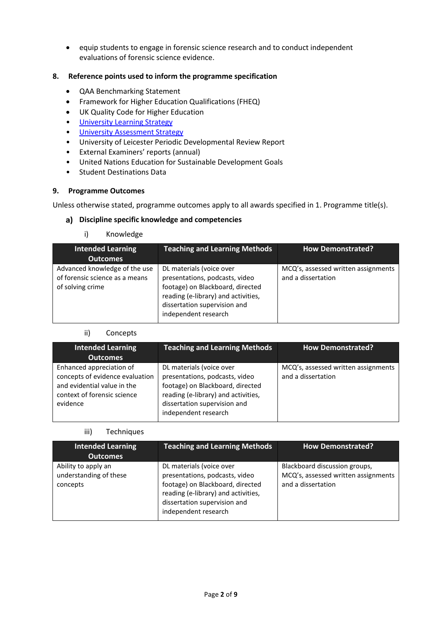• equip students to engage in forensic science research and to conduct independent evaluations of forensic science evidence.

### **8. Reference points used to inform the programme specification**

- QAA Benchmarking Statement
- Framework for Higher Education Qualifications (FHEQ)
- UK Quality Code for Higher Education
- [University Learning](https://www2.le.ac.uk/offices/sas2/quality/learnteach) Strategy
- [University Assessment Strategy](https://www2.le.ac.uk/offices/sas2/quality/learnteach)
- University of Leicester Periodic Developmental Review Report
- External Examiners' reports (annual)
- United Nations Education for Sustainable Development Goals
- Student Destinations Data

#### **9. Programme Outcomes**

Unless otherwise stated, programme outcomes apply to all awards specified in [1.](#page-0-0) Programme title(s).

### **Discipline specific knowledge and competencies**

i) Knowledge

| <b>Intended Learning</b>                                                            | <b>Teaching and Learning Methods</b>                                                                                                                                                          | <b>How Demonstrated?</b>                                  |
|-------------------------------------------------------------------------------------|-----------------------------------------------------------------------------------------------------------------------------------------------------------------------------------------------|-----------------------------------------------------------|
| <b>Outcomes</b>                                                                     |                                                                                                                                                                                               |                                                           |
| Advanced knowledge of the use<br>of forensic science as a means<br>of solving crime | DL materials (voice over<br>presentations, podcasts, video<br>footage) on Blackboard, directed<br>reading (e-library) and activities,<br>dissertation supervision and<br>independent research | MCQ's, assessed written assignments<br>and a dissertation |

#### ii) Concepts

| <b>Intended Learning</b><br><b>Outcomes</b>                                                                                           | <b>Teaching and Learning Methods</b>                                                                                                                                                          | <b>How Demonstrated?</b>                                  |
|---------------------------------------------------------------------------------------------------------------------------------------|-----------------------------------------------------------------------------------------------------------------------------------------------------------------------------------------------|-----------------------------------------------------------|
| Enhanced appreciation of<br>concepts of evidence evaluation<br>and evidential value in the<br>context of forensic science<br>evidence | DL materials (voice over<br>presentations, podcasts, video<br>footage) on Blackboard, directed<br>reading (e-library) and activities,<br>dissertation supervision and<br>independent research | MCQ's, assessed written assignments<br>and a dissertation |

#### iii) Techniques

| <b>Intended Learning</b><br><b>Outcomes</b>               | <b>Teaching and Learning Methods</b>                                                                                                                                                          | <b>How Demonstrated?</b>                                                                   |
|-----------------------------------------------------------|-----------------------------------------------------------------------------------------------------------------------------------------------------------------------------------------------|--------------------------------------------------------------------------------------------|
| Ability to apply an<br>understanding of these<br>concepts | DL materials (voice over<br>presentations, podcasts, video<br>footage) on Blackboard, directed<br>reading (e-library) and activities,<br>dissertation supervision and<br>independent research | Blackboard discussion groups,<br>MCQ's, assessed written assignments<br>and a dissertation |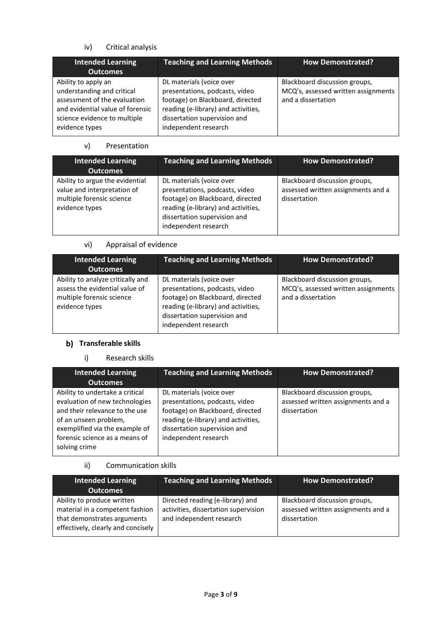# iv) Critical analysis

| <b>Intended Learning</b><br><b>Outcomes</b>                                                                                                                             | <b>Teaching and Learning Methods</b>                                                                                                                                                          | <b>How Demonstrated?</b>                                                                   |
|-------------------------------------------------------------------------------------------------------------------------------------------------------------------------|-----------------------------------------------------------------------------------------------------------------------------------------------------------------------------------------------|--------------------------------------------------------------------------------------------|
| Ability to apply an<br>understanding and critical<br>assessment of the evaluation<br>and evidential value of forensic<br>science evidence to multiple<br>evidence types | DL materials (voice over<br>presentations, podcasts, video<br>footage) on Blackboard, directed<br>reading (e-library) and activities,<br>dissertation supervision and<br>independent research | Blackboard discussion groups,<br>MCQ's, assessed written assignments<br>and a dissertation |

### v) Presentation

| <b>Intended Learning</b><br><b>Outcomes</b>                                                                   | <b>Teaching and Learning Methods</b>                                                                                                                                                          | <b>How Demonstrated?</b>                                                            |
|---------------------------------------------------------------------------------------------------------------|-----------------------------------------------------------------------------------------------------------------------------------------------------------------------------------------------|-------------------------------------------------------------------------------------|
| Ability to argue the evidential<br>value and interpretation of<br>multiple forensic science<br>evidence types | DL materials (voice over<br>presentations, podcasts, video<br>footage) on Blackboard, directed<br>reading (e-library) and activities,<br>dissertation supervision and<br>independent research | Blackboard discussion groups,<br>assessed written assignments and a<br>dissertation |

# vi) Appraisal of evidence

| <b>Intended Learning</b><br><b>Outcomes</b>                                                                        | <b>Teaching and Learning Methods</b>                                                                                                                                                          | <b>How Demonstrated?</b>                                                                   |
|--------------------------------------------------------------------------------------------------------------------|-----------------------------------------------------------------------------------------------------------------------------------------------------------------------------------------------|--------------------------------------------------------------------------------------------|
| Ability to analyze critically and<br>assess the evidential value of<br>multiple forensic science<br>evidence types | DL materials (voice over<br>presentations, podcasts, video<br>footage) on Blackboard, directed<br>reading (e-library) and activities,<br>dissertation supervision and<br>independent research | Blackboard discussion groups,<br>MCQ's, assessed written assignments<br>and a dissertation |

# **b)** Transferable skills

# i) Research skills

| <b>Intended Learning</b><br><b>Outcomes</b>                                                                                                                                                                       | <b>Teaching and Learning Methods</b>                                                                                                                                                          | <b>How Demonstrated?</b>                                                            |
|-------------------------------------------------------------------------------------------------------------------------------------------------------------------------------------------------------------------|-----------------------------------------------------------------------------------------------------------------------------------------------------------------------------------------------|-------------------------------------------------------------------------------------|
| Ability to undertake a critical<br>evaluation of new technologies<br>and their relevance to the use<br>of an unseen problem,<br>exemplified via the example of<br>forensic science as a means of<br>solving crime | DL materials (voice over<br>presentations, podcasts, video<br>footage) on Blackboard, directed<br>reading (e-library) and activities,<br>dissertation supervision and<br>independent research | Blackboard discussion groups,<br>assessed written assignments and a<br>dissertation |

## ii) Communication skills

| <b>Intended Learning</b><br><b>Outcomes</b>                                                                                        | <b>Teaching and Learning Methods</b>                                                                 | <b>How Demonstrated?</b>                                                            |
|------------------------------------------------------------------------------------------------------------------------------------|------------------------------------------------------------------------------------------------------|-------------------------------------------------------------------------------------|
| Ability to produce written<br>material in a competent fashion<br>that demonstrates arguments<br>effectively, clearly and concisely | Directed reading (e-library) and<br>activities, dissertation supervision<br>and independent research | Blackboard discussion groups,<br>assessed written assignments and a<br>dissertation |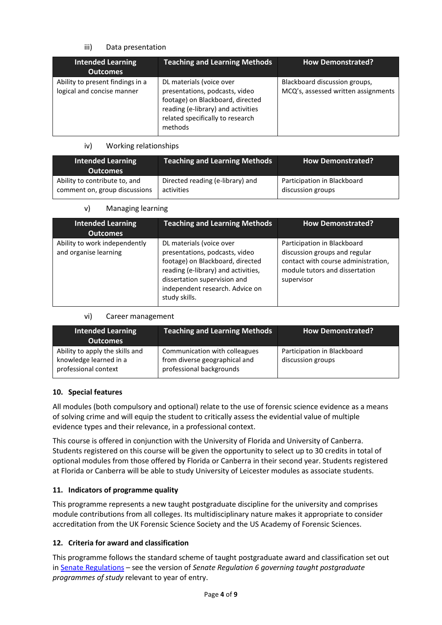### iii) Data presentation

| <b>Intended Learning</b><br><b>Outcomes</b>                    | <b>Teaching and Learning Methods</b>                                                                                                                                                | <b>How Demonstrated?</b>                                             |
|----------------------------------------------------------------|-------------------------------------------------------------------------------------------------------------------------------------------------------------------------------------|----------------------------------------------------------------------|
| Ability to present findings in a<br>logical and concise manner | DL materials (voice over<br>presentations, podcasts, video<br>footage) on Blackboard, directed<br>reading (e-library) and activities<br>related specifically to research<br>methods | Blackboard discussion groups,<br>MCQ's, assessed written assignments |

### iv) Working relationships

| <b>Intended Learning</b><br><b>Outcomes</b> | <b>Teaching and Learning Methods</b> | <b>How Demonstrated?</b>    |
|---------------------------------------------|--------------------------------------|-----------------------------|
| Ability to contribute to, and               | Directed reading (e-library) and     | Participation in Blackboard |
| comment on, group discussions               | activities                           | discussion groups           |

## v) Managing learning

| <b>Intended Learning</b><br><b>Outcomes</b>            | <b>Teaching and Learning Methods</b>                                                                                                                                                                                      | <b>How Demonstrated?</b>                                                                                                                            |
|--------------------------------------------------------|---------------------------------------------------------------------------------------------------------------------------------------------------------------------------------------------------------------------------|-----------------------------------------------------------------------------------------------------------------------------------------------------|
| Ability to work independently<br>and organise learning | DL materials (voice over<br>presentations, podcasts, video<br>footage) on Blackboard, directed<br>reading (e-library) and activities,<br>dissertation supervision and<br>independent research. Advice on<br>study skills. | Participation in Blackboard<br>discussion groups and regular<br>contact with course administration,<br>module tutors and dissertation<br>supervisor |

### vi) Career management

| <b>Intended Learning</b><br><b>Outcomes</b>                                       | <b>Teaching and Learning Methods</b>                                                       | <b>How Demonstrated?</b>                         |
|-----------------------------------------------------------------------------------|--------------------------------------------------------------------------------------------|--------------------------------------------------|
| Ability to apply the skills and<br>knowledge learned in a<br>professional context | Communication with colleagues<br>from diverse geographical and<br>professional backgrounds | Participation in Blackboard<br>discussion groups |

# **10. Special features**

All modules (both compulsory and optional) relate to the use of forensic science evidence as a means of solving crime and will equip the student to critically assess the evidential value of multiple evidence types and their relevance, in a professional context.

This course is offered in conjunction with the University of Florida and University of Canberra. Students registered on this course will be given the opportunity to select up to 30 credits in total of optional modules from those offered by Florida or Canberra in their second year. Students registered at Florida or Canberra will be able to study University of Leicester modules as associate students.

### **11. Indicators of programme quality**

This programme represents a new taught postgraduate discipline for the university and comprises module contributions from all colleges. Its multidisciplinary nature makes it appropriate to consider accreditation from the UK Forensic Science Society and the US Academy of Forensic Sciences.

# **12. Criteria for award and classification**

This programme follows the standard scheme of taught postgraduate award and classification set out i[n Senate Regulations](http://www.le.ac.uk/senate-regulations) – see the version of *Senate Regulation 6 governing taught postgraduate programmes of study* relevant to year of entry.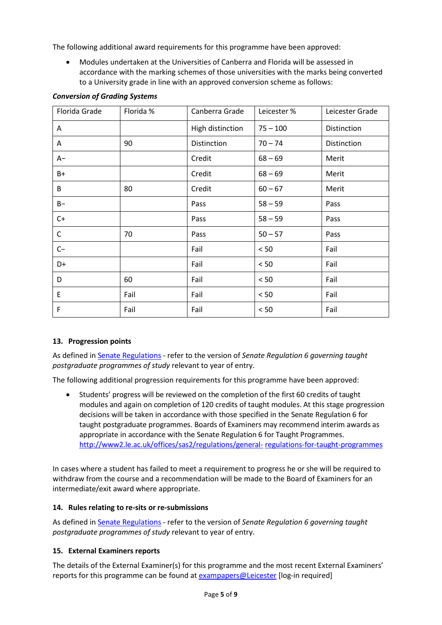The following additional award requirements for this programme have been approved:

• Modules undertaken at the Universities of Canberra and Florida will be assessed in accordance with the marking schemes of those universities with the marks being converted to a University grade in line with an approved conversion scheme as follows:

| Florida Grade | Florida % | Canberra Grade   | Leicester % | Leicester Grade |
|---------------|-----------|------------------|-------------|-----------------|
| A             |           | High distinction | $75 - 100$  | Distinction     |
| A             | 90        | Distinction      | $70 - 74$   | Distinction     |
| A-            |           | Credit           | $68 - 69$   | Merit           |
| B+            |           | Credit           | $68 - 69$   | Merit           |
| B             | 80        | Credit           | $60 - 67$   | Merit           |
| $B -$         |           | Pass             | $58 - 59$   | Pass            |
| $C+$          |           | Pass             | $58 - 59$   | Pass            |
| C             | 70        | Pass             | $50 - 57$   | Pass            |
| $C-$          |           | Fail             | < 50        | Fail            |
| D+            |           | Fail             | < 50        | Fail            |
| D             | 60        | Fail             | $< 50$      | Fail            |
| E             | Fail      | Fail             | < 50        | Fail            |
| F             | Fail      | Fail             | < 50        | Fail            |

### *Conversion of Grading Systems*

### **13. Progression points**

As defined i[n Senate Regulations](http://www.le.ac.uk/senate-regulation6) - refer to the version of *Senate Regulation 6 governing taught postgraduate programmes of study* relevant to year of entry.

The following additional progression requirements for this programme have been approved:

• Students' progress will be reviewed on the completion of the first 60 credits of taught modules and again on completion of 120 credits of taught modules. At this stage progression decisions will be taken in accordance with those specified in the Senate Regulation 6 for taught postgraduate programmes. Boards of Examiners may recommend interim awards as appropriate in accordance with the Senate Regulation 6 for Taught Programmes. [http://www2.le.ac.uk/offices/sas2/regulations/general-](http://www2.le.ac.uk/offices/sas2/regulations/general-regulations-for-taught-programmes) [regulations-for-taught-programmes](http://www2.le.ac.uk/offices/sas2/regulations/general-regulations-for-taught-programmes)

In cases where a student has failed to meet a requirement to progress he or she will be required to withdraw from the course and a recommendation will be made to the Board of Examiners for an intermediate/exit award where appropriate.

#### **14. Rules relating to re-sits or re-submissions**

As defined i[n Senate Regulations](http://www.le.ac.uk/senate-regulation6) - refer to the version of *Senate Regulation 6 governing taught postgraduate programmes of study* relevant to year of entry.

### **15. External Examiners reports**

The details of the External Examiner(s) for this programme and the most recent External Examiners' reports for this programme can be found at [exampapers@Leicester](https://exampapers.le.ac.uk/) [log-in required]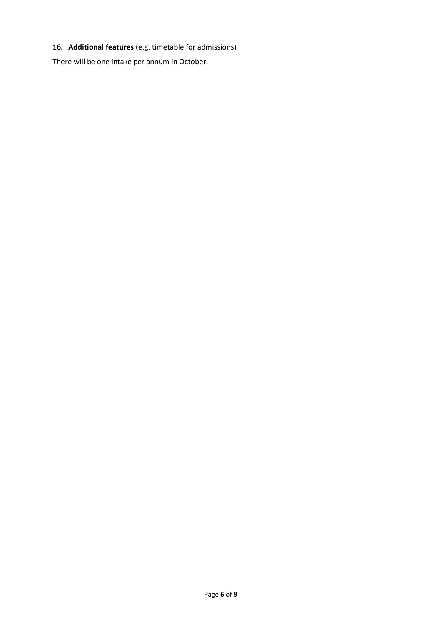# **16. Additional features** (e.g. timetable for admissions)

There will be one intake per annum in October.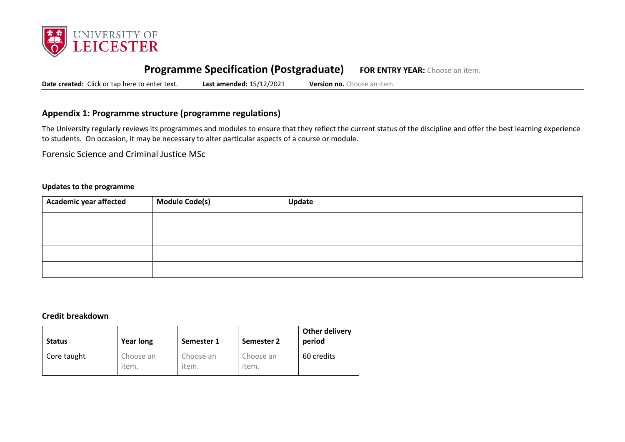

# **Programme Specification (Postgraduate) FOR ENTRY YEAR:** Choose an item.

**Date created:** Click or tap here to enter text. **Last amended:** 15/12/2021 **Version no.** Choose an item.

## **Appendix 1: Programme structure (programme regulations)**

The University regularly reviews its programmes and modules to ensure that they reflect the current status of the discipline and offer the best learning experience to students. On occasion, it may be necessary to alter particular aspects of a course or module.

Forensic Science and Criminal Justice MSc

#### **Updates to the programme**

| Academic year affected | Module Code(s) | Update |
|------------------------|----------------|--------|
|                        |                |        |
|                        |                |        |
|                        |                |        |
|                        |                |        |

#### **Credit breakdown**

| <b>Status</b> | <b>Year long</b>   | Semester 1         | Semester 2         | Other delivery<br>period |
|---------------|--------------------|--------------------|--------------------|--------------------------|
| Core taught   | Choose an<br>item. | Choose an<br>item. | Choose an<br>item. | 60 credits               |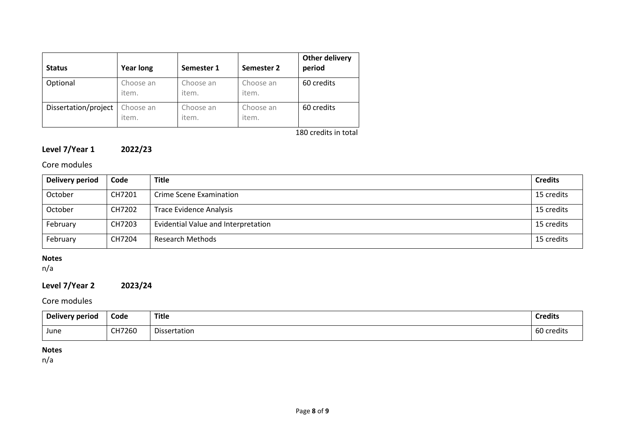| <b>Status</b>        | <b>Year long</b>   | Semester 1         | Semester 2         | Other delivery<br>period |
|----------------------|--------------------|--------------------|--------------------|--------------------------|
| Optional             | Choose an<br>item. | Choose an<br>item. | Choose an<br>item. | 60 credits               |
| Dissertation/project | Choose an<br>item. | Choose an<br>item. | Choose an<br>item. | 60 credits               |

180 credits in total

# **Level 7/Year 1 2022/23**

# Core modules

| Delivery period | Code   | <b>Title</b>                        | <b>Credits</b> |
|-----------------|--------|-------------------------------------|----------------|
| October         | CH7201 | Crime Scene Examination             | 15 credits     |
| October         | CH7202 | Trace Evidence Analysis             | 15 credits     |
| February        | CH7203 | Evidential Value and Interpretation | 15 credits     |
| February        | CH7204 | <b>Research Methods</b>             | 15 credits     |

# **Notes**

n/a

# **Level 7/Year 2 2023/24**

# Core modules

| <b>Delivery period</b> | Code   | <b>Title</b> | <b>Credits</b> |
|------------------------|--------|--------------|----------------|
| June                   | CH7260 | Dissertation | 60 credits     |

### **Notes**

n/a